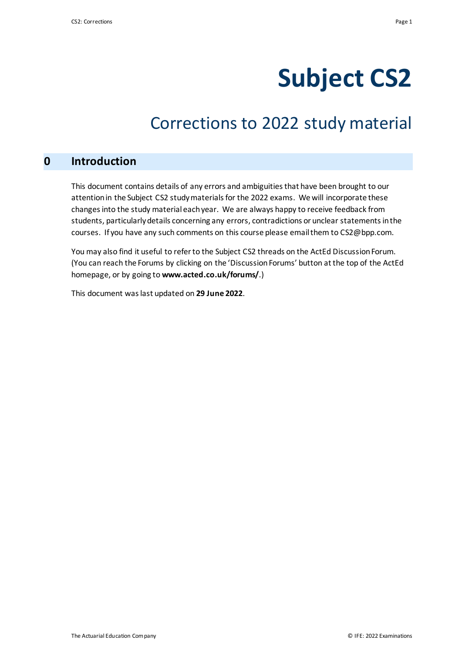# **Subject CS2**

# Corrections to 2022 study material

### **0 Introduction**

This document contains details of any errors and ambiguities that have been brought to our attention in the Subject CS2 study materials for the 2022 exams. We will incorporate these changes into the study material each year. We are always happy to receive feedback from students, particularly details concerning any errors, contradictions or unclear statements in the courses. If you have any such comments on this course please email them to CS2@bpp.com.

You may also find it useful to refer to the Subject CS2 threads on the ActEd Discussion Forum. (You can reach the Forums by clicking on the 'Discussion Forums' button at the top of the ActEd homepage, or by going to **www.acted.co.uk/forums/**.)

This document was last updated on **29 June 2022**.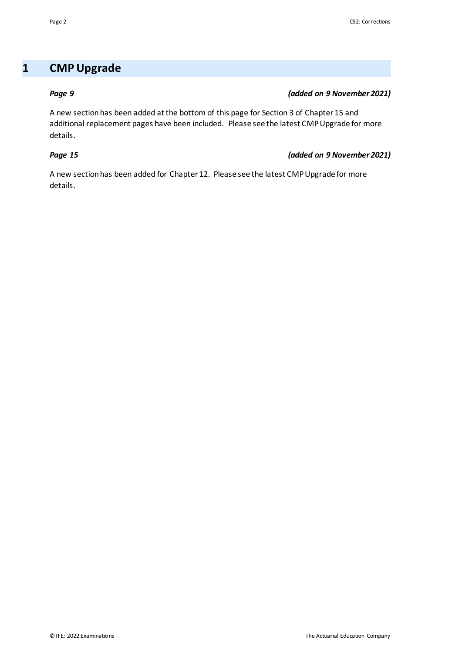## **1 CMP Upgrade**

#### *Page 9 (added on 9 November 2021)*

A new section has been added at the bottom of this page for Section 3 of Chapter 15 and additional replacement pages have been included. Please see the latest CMP Upgrade for more details.

#### *Page 15 (added on 9 November 2021)*

A new section has been added for Chapter 12. Please see the latest CMP Upgrade for more details.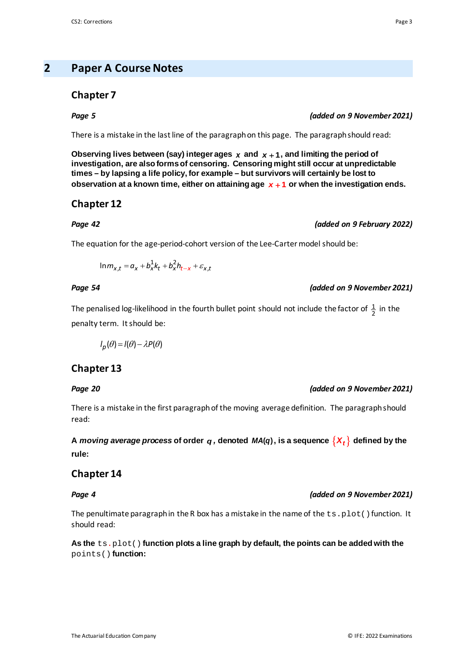### **2 Paper A Course Notes**

#### **Chapter 7**

There is a mistake in the last line of the paragraph on this page. The paragraph should read:

Observing lives between (say) integer ages  $x$  and  $x + 1$ , and limiting the period of **investigation, are also forms of censoring. Censoring might still occur at unpredictable times – by lapsing a life policy, for example – but survivors will certainly be lost to observation at a known time, either on attaining age** *x* + **1 or when the investigation ends.**

*Page 42 (added on 9 February 2022)*

#### **Chapter 12**

# The equation for the age-period-cohort version of the Lee-Carter model should be:

 $\ln m_{x,t} = a_x + b_x^2 k_t + b_x^2 h_{t-x} + \varepsilon_{x,t}$ 

#### *Page 54 (added on 9 November 2021)*

The penalised log-likelihood in the fourth bullet point should not include the factor of  $\frac{1}{2}$  in the penalty term. It should be:

 $I_p(\theta) = I(\theta) - \lambda P(\theta)$ 

### **Chapter 13**

There is a mistake in the first paragraph of the moving average definition. The paragraph should read:

A *moving average process* of order  $q$ , denoted  $MA(q)$ , is a sequence  $\{X_t\}$  defined by the **rule:**

#### **Chapter 14**

#### *Page 4 (added on 9 November 2021)*

The penultimate paragraph in the R box has a mistake in the name of the  $ts.plot()$  function. It should read:

**As the** ts.plot() **function plots a line graph by default, the points can be added with the**  points() **function:**

### *Page 5 (added on 9 November 2021)*

#### *Page 20 (added on 9 November 2021)*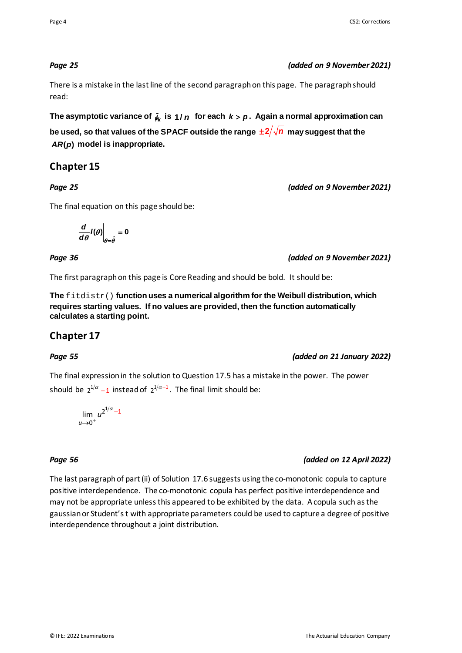#### *Page 25 (added on 9 November 2021)*

There is a mistake in the last line of the second paragraph on this page. The paragraph should read:

**The asymptotic variance of**  *<sup>k</sup>*<sup>φ</sup> **is 1/** *n* **for each** *k p* > **. Again a normal approximation can** 

be used, so that values of the SPACF outside the range  $\pm 2/\sqrt{n}$  may suggest that the *AR(p)* model is inappropriate.

### **Chapter 15**

*Page 25 (added on 9 November 2021)*

The final equation on this page should be:

$$
\left.\frac{\mathsf{d}}{\mathsf{d}\theta}\mathsf{I}(\theta)\right|_{\theta=\hat{\theta}}=0
$$

*Page 36 (added on 9 November 2021)*

The first paragraph on this page is Core Reading and should be bold. It should be:

**The** fitdistr() **function uses a numerical algorithm for the Weibull distribution, which requires starting values. If no values are provided, then the function automatically calculates a starting point.**

### **Chapter 17**

#### *Page 55 (added on 21 January 2022)*

The final expression in the solution to Question 17.5 has a mistake in the power. The power should be  $2^{1/\alpha}$  -1 instead of  $2^{1/\alpha-1}$ . The final limit should be:

 $\lim u^{2^{1/\alpha}-1}$  $u \rightarrow 0^+$ 

### *Page 56 (added on 12 April 2022)*

The last paragraph of part (ii) of Solution 17.6 suggests using the co-monotonic copula to capture positive interdependence. The co-monotonic copula has perfect positive interdependence and may not be appropriate unlessthis appeared to be exhibited by the data. A copula such as the gaussian or Student's t with appropriate parameters could be used to capture a degree of positive interdependence throughout a joint distribution.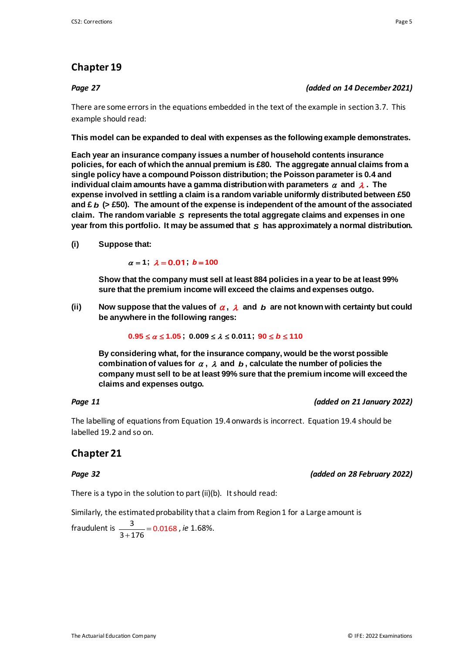### **Chapter 19**

#### *Page 27 (added on 14 December 2021)*

There are some errors in the equations embedded in the text of the example in section 3.7. This example should read:

#### **This model can be expanded to deal with expenses as the following example demonstrates.**

**Each year an insurance company issues a number of household contents insurance policies, for each of which the annual premium is £80. The aggregate annual claims from a single policy have a compound Poisson distribution; the Poisson parameter is 0.4 and individual claim amounts have a gamma distribution with parameters**  $\alpha$  **and**  $\lambda$ **. The expense involved in settling a claim is a random variable uniformly distributed between £50 and £** *b* **(> £50). The amount of the expense is independent of the amount of the associated claim. The random variable** *S* **represents the total aggregate claims and expenses in one year from this portfolio. It may be assumed that** *S* **has approximately a normal distribution.**

**(i) Suppose that:**

 $\alpha = 1$ ;  $\lambda = 0.01$ ;  $b = 100$ 

**Show that the company must sell at least 884 policies in a year to be at least 99% sure that the premium income will exceed the claims and expenses outgo.**

**(ii) Now suppose that the values of** <sup>α</sup> **,** <sup>λ</sup> **and** *b* **are not known with certainty but could be anywhere in the following ranges:**

 $0.95 \le \alpha \le 1.05$ ;  $0.009 \le \lambda \le 0.011$ ;  $90 \le b \le 110$ 

**By considering what, for the insurance company, would be the worst possible combination of values for** <sup>α</sup> **,** <sup>λ</sup> **and** *b* **, calculate the number of policies the company must sell to be at least 99% sure that the premium income will exceed the claims and expenses outgo.**

#### *Page 11 (added on 21 January 2022)*

The labelling of equations from Equation 19.4 onwards is incorrect. Equation 19.4 should be labelled 19.2 and so on.

### **Chapter 21**

There is a typo in the solution to part (ii)(b). It should read:

Similarly, the estimated probability that a claim from Region 1 for a Large amount is

fraudulent is  $\frac{3}{3+176} = 0.0168$ , *ie* 1.68%.

*Page 32 (added on 28 February 2022)*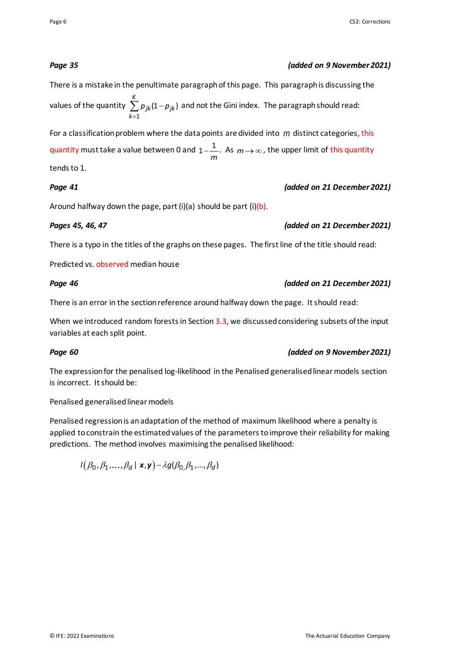#### *Page 35 (added on 9 November 2021)*

#### There is a mistake in the penultimate paragraph of this page. This paragraph is discussing the values of the quantity =  $\sum \rho_{jk}$ (1 – 1  $(1 - p_{ik})$ *K jk jk k*  $p_{ik}(1-p_{ik})$  and not the Gini index. The paragraph should read:

For a classification problem where the data points are divided into *m* distinct categories, this quantity must take a value between 0 and  $\rm _1 \rm _$ *m* . As  $m \rightarrow \infty$ , the upper limit of this quantity tends to 1.

#### *Page 41 (added on 21 December 2021)*

### Around halfway down the page, part  $(i)(a)$  should be part  $(i)(b)$ .

#### *Pages 45, 46, 47 (added on 21 December 2021)*

There is a typo in the titles of the graphs on these pages. The first line of the title should read:

Predicted vs. observed median house

#### *Page 46 (added on 21 December 2021)*

There is an error in the section reference around halfway down the page. It should read:

When we introduced random forests in Section 3.3, we discussed considering subsets of the input variables at each split point.

#### *Page 60 (added on 9 November 2021)*

The expression for the penalised log-likelihood in the Penalised generalised linear models section is incorrect. It should be:

#### Penalised generalised linear models

Penalised regression is an adaptation of the method of maximum likelihood where a penalty is applied to constrain the estimated values of the parameters to improve their reliability for making predictions. The method involves maximising the penalised likelihood:

 $I(\beta_0, \beta_1, \ldots, \beta_d | \mathbf{x}, \mathbf{y}) - \lambda g(\beta_0, \beta_1, \ldots, \beta_d)$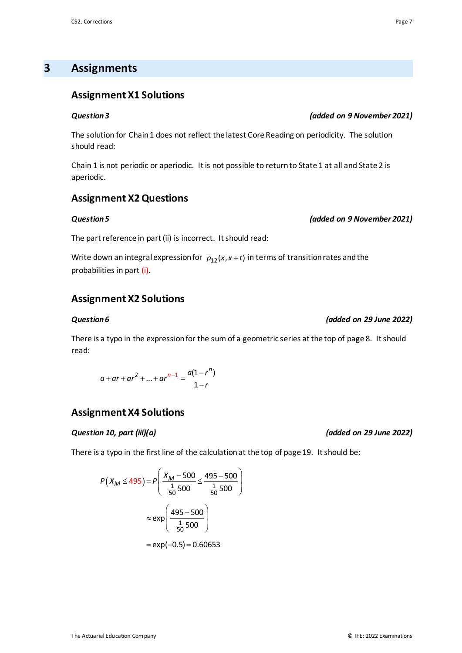### **3 Assignments**

#### **Assignment X1 Solutions**

#### *Question 3 (added on 9 November 2021)*

The solution for Chain 1 does not reflect the latest Core Reading on periodicity. The solution should read:

Chain 1 is not periodic or aperiodic. It is not possible to return to State 1 at all and State 2 is aperiodic.

#### **Assignment X2 Questions**

#### *Question 5 (added on 9 November 2021)*

The part reference in part (ii) is incorrect. It should read:

Write down an integral expression for  $p_{12}(x, x+t)$  in terms of transition rates and the probabilities in part (i).

### **Assignment X2 Solutions**

#### *Question 6 (added on 29 June 2022)*

There is a typo in the expression for the sum of a geometric series at the top of page 8. It should read:

$$
a + ar + ar2 + ... + arn-1 = \frac{a(1 - rn)}{1 - r}
$$

#### **Assignment X4 Solutions**

#### *Question 10, part (iii)(a) (added on 29 June 2022)*

There is a typo in the first line of the calculationat the top of page 19. It should be:

$$
P(X_M \le 495) = P\left(\frac{X_M - 500}{\frac{1}{50}500} \le \frac{495 - 500}{\frac{1}{50}500}\right)
$$

$$
\approx \exp\left(\frac{495 - 500}{\frac{1}{50}500}\right)
$$

$$
= \exp(-0.5) = 0.60653
$$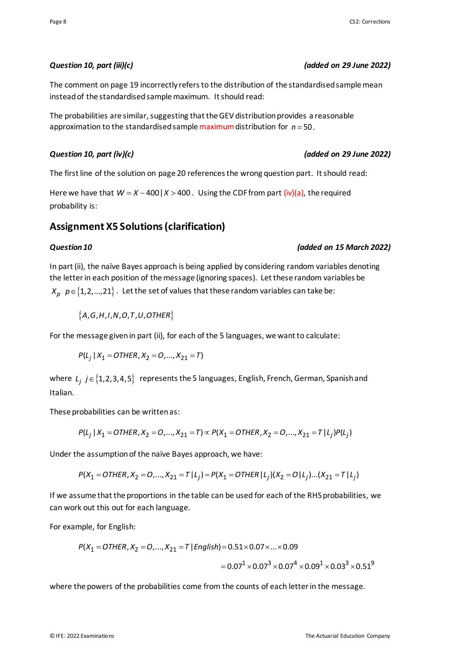#### Page 8 CS2: Corrections and the contract of the contract of the contract of the contract of the contract of the contract of the contract of the contract of the contract of the contract of the contract of the contract of th

The comment on page 19 incorrectly refers to the distribution of the standardised sample mean instead of the standardised sample maximum. It should read:

The probabilities are similar, suggesting that the GEV distribution provides a reasonable approximation to the standardised sample maximum distribution for  $n = 50$ .

#### *Question 10, part (iv)(c) (added on 29 June 2022)*

The first line of the solution on page 20 references the wrong question part. It should read:

Here we have that  $W = X - 400$  |  $X > 400$ . Using the CDF from part (iv)(a), the required probability is:

### **Assignment X5 Solutions (clarification)**

#### *Question 10 (added on 15 March 2022)*

In part (ii), the naïve Bayes approach is being applied by considering random variables denoting the letter in each position of the message (ignoring spaces). Let these random variables be  $X_p$   $p \in \{1, 2, ..., 21\}$ . Let the set of values that these random variables can take be:

 ${A, G, H, I, N, O, T, U, O}$  *(A, G, H, I, N, O, T, U, OTHER*)

For the message given in part (ii), for each of the 5 languages, we want to calculate:

$$
P(L_j | X_1 = \text{OTHER}, X_2 = 0, ..., X_{21} = T)
$$

where *L<sub>j</sub> j* ∈ {1,2,3,4,5} represents the 5 languages, English, French, German, Spanish and Italian.

These probabilities can be written as:

$$
P(L_j | X_1 = \text{OTHER}, X_2 = 0, ..., X_{21} = T) \propto P(X_1 = \text{OTHER}, X_2 = 0, ..., X_{21} = T | L_j) P(L_j)
$$

Under the assumption of the naïve Bayes approach, we have:

$$
P(X_1 = \text{OTHER}, X_2 = \text{O}, \dots, X_{21} = \text{T} | L_j) = P(X_1 = \text{OTHER} | L_j)(X_2 = \text{O} | L_j) \dots (X_{21} = \text{T} | L_j)
$$

If we assume that the proportions in the table can be used for each of the RHS probabilities, we can work out this out for each language.

For example, for English:

$$
P(X_1 = \text{OTHER}, X_2 = \text{O}, \dots, X_{21} = \text{T} \mid English) = 0.51 \times 0.07 \times \dots \times 0.09
$$
\n
$$
= 0.07^1 \times 0.07^3 \times 0.07^4 \times 0.09^1 \times 0.03^3 \times 0.51^9
$$

where the powers of the probabilities come from the counts of each letter in the message.

#### *Question 10, part (iii)(c) (added on 29 June 2022)*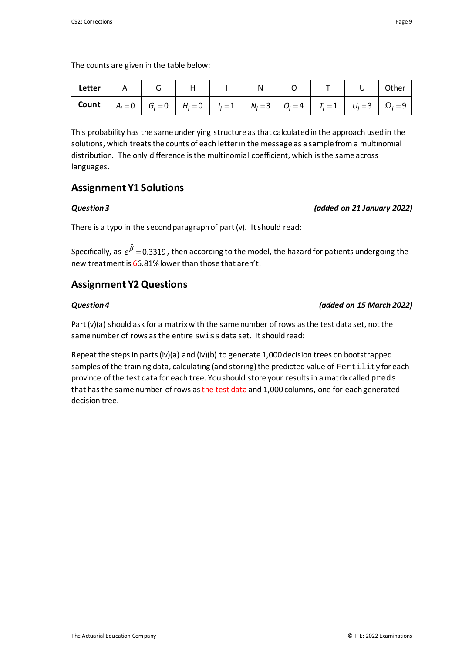The counts are given in the table below:

| <b>  Letter  </b> A   G   H   I   N   O   T   U  Other                                                      |  |  |  |  |  |
|-------------------------------------------------------------------------------------------------------------|--|--|--|--|--|
| <b>Count</b> $A_i = 0$ $G_i = 0$ $H_i = 0$ $I_i = 1$ $N_i = 3$ $G_i = 4$ $T_i = 1$ $U_i = 3$ $\Omega_i = 9$ |  |  |  |  |  |

This probability has the same underlying structure as that calculated in the approach used in the solutions, which treats the counts of each letter in the message as a sample from a multinomial distribution. The only difference is the multinomial coefficient, which is the same across languages.

### **Assignment Y1 Solutions**

#### *Question 3 (added on 21 January 2022)*

There is a typo in the second paragraph of part (v). It should read:

Specifically, as  $e^{\hat{\beta}} = 0.3319$ , then according to the model, the hazard for patients undergoing the new treatment is 66.81% lower than those that aren't.

### **Assignment Y2 Questions**

### *Question 4 (added on 15 March 2022)*

Part  $(v)(a)$  should ask for a matrix with the same number of rows as the test data set, not the same number of rows as the entire swiss data set. It should read:

Repeat the steps in parts (iv)(a) and (iv)(b) to generate 1,000 decision trees on bootstrapped samples of the training data, calculating (and storing) the predicted value of Fertility for each province of the test data for each tree. You should store your results in a matrix called preds that has the same number of rows as the test data and 1,000 columns, one for each generated decision tree.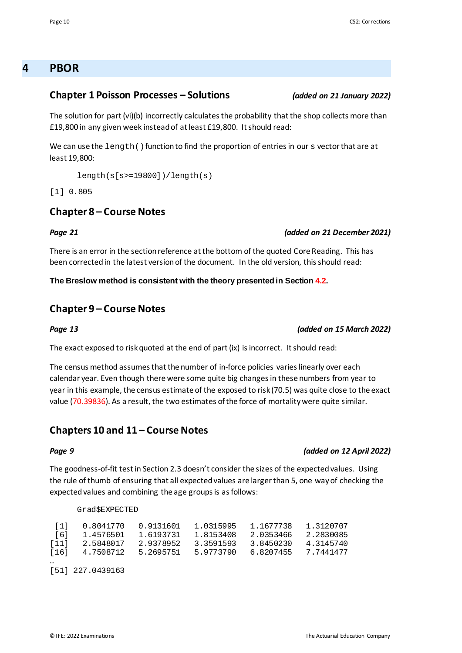### **4 PBOR**

#### **Chapter 1 Poisson Processes – Solutions** *(added on 21 January 2022)*

The solution for part (vi)(b) incorrectly calculates the probability that the shop collects more than £19,800 in any given week instead of at least £19,800. It should read:

We can use the  $l$ ength() function to find the proportion of entries in our s vector that are at least 19,800:

```
length(s[s>=19800])/length(s)
```
[1] 0.805

#### **Chapter 8 – Course Notes**

#### *Page 21 (added on 21 December 2021)*

There is an error in the section reference at the bottom of the quoted Core Reading. This has been corrected in the latest version of the document. In the old version, this should read:

**The Breslow method is consistent with the theory presented in Section 4.2.**

#### **Chapter 9 – Course Notes**

The exact exposed to risk quoted at the end of part (ix) is incorrect. It should read:

The census method assumes that the number of in-force policies varies linearly over each calendar year. Even though there were some quite big changes in these numbers from year to year in this example, the census estimate of the exposed to risk (70.5) was quite close to the exact value (70.39836). As a result, the two estimates of the force of mortality were quite similar.

#### **Chapters 10 and 11 – Course Notes**

The goodness-of-fit test in Section 2.3 doesn't consider the sizes of the expected values. Using the rule of thumb of ensuring that all expected values are larger than 5, one way of checking the expected values and combining the age groups is as follows:

#### Grad\$EXPECTED

|                    |                    |           | 1.0315995 | 1.1677738           | 1.3120707 |
|--------------------|--------------------|-----------|-----------|---------------------|-----------|
|                    | [6] 1.4576501      | 1.6193731 | 1.8153408 | 2.0353466           | 2.2830085 |
| $\lceil 11 \rceil$ | 2.5848017          | 2.9378952 | 3.3591593 | 3.8450230           | 4.3145740 |
|                    | 161 4.7508712      | 5.2695751 | 5.9773790 | 6.8207455 7.7441477 |           |
| $\cdots$           |                    |           |           |                     |           |
|                    | $[51]$ 227.0439163 |           |           |                     |           |

#### *Page 9 (added on 12 April 2022)*

*Page 13 (added on 15 March 2022)*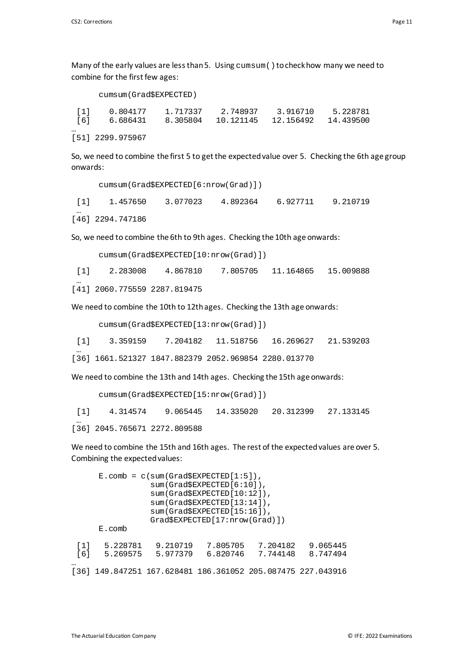[51] 2299.975967

Many of the early values are less than 5. Using  $cumsum()$  to check how many we need to combine for the first few ages:

### cumsum(Grad\$EXPECTED) [1] 0.804177 1.717337 2.748937 3.916710 5.228781 [6] 6.686431 8.305804 10.121145 12.156492 14.439500 …

So, we need to combine the first 5 to get the expected value over 5. Checking the 6th age group onwards:

cumsum(Grad\$EXPECTED[6:nrow(Grad)])

[1] 1.457650 3.077023 4.892364 6.927711 9.210719 … [46] 2294.747186

So, we need to combine the 6th to 9th ages. Checking the 10th age onwards:

```
cumsum(Grad$EXPECTED[10:nrow(Grad)])
```
[1] 2.283008 4.867810 7.805705 11.164865 15.009888

… [41] 2060.775559 2287.819475

We need to combine the 10th to 12th ages. Checking the 13th age onwards:

cumsum(Grad\$EXPECTED[13:nrow(Grad)])

[1] 3.359159 7.204182 11.518756 16.269627 21.539203

… [36] 1661.521327 1847.882379 2052.969854 2280.013770

We need to combine the 13th and 14th ages. Checking the 15th age onwards:

cumsum(Grad\$EXPECTED[15:nrow(Grad)])

[1] 4.314574 9.065445 14.335020 20.312399 27.133145

… [36] 2045.765671 2272.809588

We need to combine the 15th and 16th ages. The rest of the expected values are over 5. Combining the expected values:

| $E.comb = c(sum(Grad$EXPECTED[1:5]),$ |                                            |                      |                                                        |                      |                      |  |  |  |
|---------------------------------------|--------------------------------------------|----------------------|--------------------------------------------------------|----------------------|----------------------|--|--|--|
|                                       | sum(Grad\$EXPECTED[6:10]),                 |                      |                                                        |                      |                      |  |  |  |
|                                       | sum(Grad\$EXPECTED[10:12]),                |                      |                                                        |                      |                      |  |  |  |
|                                       | sum(Grad\$EXPECTED[13:14]),                |                      |                                                        |                      |                      |  |  |  |
|                                       | $sum(Grad$EXPECTED[15:16])$ ,              |                      |                                                        |                      |                      |  |  |  |
|                                       | $Grad$$ EXPECTED $[17:$ nrow $(Grad)$ $])$ |                      |                                                        |                      |                      |  |  |  |
|                                       | $E$ . comb                                 |                      |                                                        |                      |                      |  |  |  |
| [1]<br>[6]                            | 5.228781<br>5.269575                       | 9.210719<br>5.977379 | 7.805705<br>6.820746                                   | 7.204182<br>7.744148 | 9.065445<br>8.747494 |  |  |  |
| <br>1361                              |                                            |                      | 149.847251 167.628481 186.361052 205.087475 227.043916 |                      |                      |  |  |  |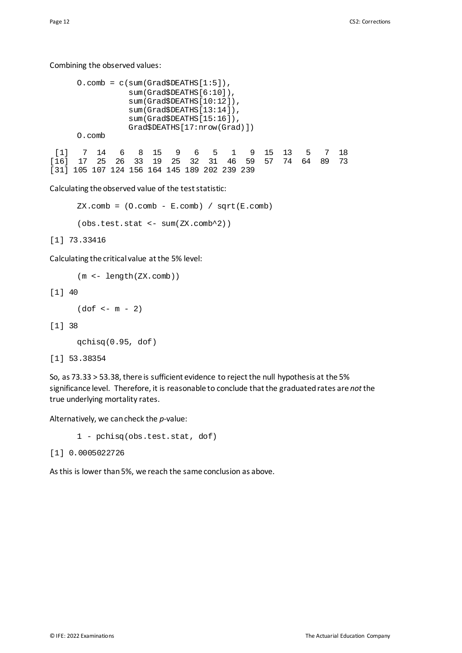#### Combining the observed values:

```
0.\text{comb} = c(\text{sum}(\text{Grad$DEATHS}[1:5]), sum(Grad$DEATHS[6:10]),
                 sum(Grad$DEATHS[10:12]),
                 sum(Grad$DEATHS[13:14]),
                 sum(Grad$DEATHS[15:16]),
                 Grad$DEATHS[17:nrow(Grad)])
     O.comb
 [1] 7 14 6 8 15 9 6 5 1 9 15 13 5 7 18
[16] 17 25 26 33 19 25 32 31 46 59 57 74 64 89 73
[31] 105 107 124 156 164 145 189 202 239 239
```
#### Calculating the observed value of the test statistic:

```
ZX.comb = (0.comb - E.comb) / sqrt(E.comb)(obs.test.stat <- sum(ZX.comb^2))
```
[1] 73.33416

Calculating the critical value at the 5% level:

```
(m <- length(ZX.comb))
```
[1] 40

```
(dof < -m - 2)
```
[1] 38

```
qchisq(0.95, dof)
```
[1] 53.38354

So, as 73.33 > 53.38, there is sufficient evidence to reject the null hypothesis at the 5% significance level. Therefore, it is reasonable to conclude that the graduated rates are *not* the true underlying mortality rates.

Alternatively, we can check the *p*-value:

1 - pchisq(obs.test.stat, dof)

```
[1] 0.0005022726
```
As this is lower than 5%, we reach the same conclusion as above.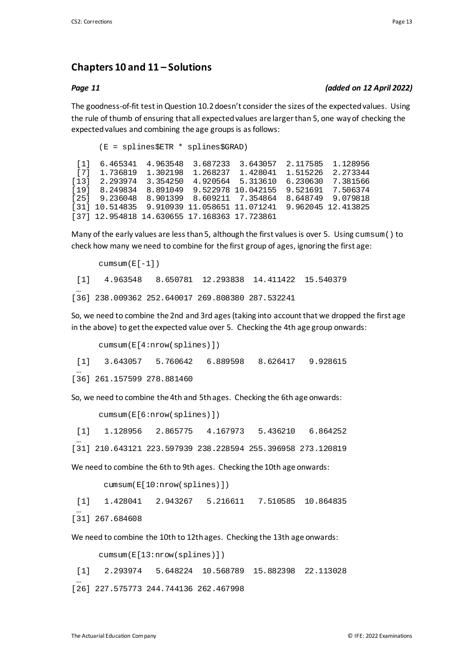### **Chapters 10 and 11 – Solutions**

#### *Page 11 (added on 12 April 2022)*

The goodness-of-fit test in Question 10.2 doesn't consider the sizes of the expected values. Using the rule of thumb of ensuring that all expected values are larger than 5, one way of checking the expected values and combining the age groups is as follows:

(E = splines\$ETR \* splines\$GRAD) [1] 6.465341 4.963548 3.687233 3.643057 2.117585 1.128956 1.428041 1.515226 2.273344<br>5.313610 6.230630 7.381566 [13] 2.293974 3.354250 4.920564 5.313610 6.230630 7.381566 [19] 8.249834 8.891049 9.522978 10.042155 9.521691<br>[25] 9.236048 8.901399 8.609211 7.354864 8.648749 [25] 9.236048 8.901399 8.609211 7.354864 8.648749 9.079818 [31] 10.514835 9.910939 11.058651 11.071241 9.962045 12.413825 [37] 12.954818 14.630655 17.168363 17.723861

Many of the early values are less than 5, although the first values is over 5. Using cumsum() to check how many we need to combine for the first group of ages, ignoring the first age:

```
cumsum(E[-1])[1] 4.963548 8.650781 12.293838 14.411422 15.540379
 …
[36] 238.009362 252.640017 269.808380 287.532241
```
So, we need to combine the 2nd and 3rd ages (taking into account that we dropped the first age in the above) to get the expected value over 5. Checking the 4th age group onwards:

```
cumsum(E[4:nrow(splines)])
[1] 3.643057 5.760642 6.889598 8.626417 9.928615
…
```
[36] 261.157599 278.881460

So, we need to combine the 4th and 5th ages. Checking the 6th age onwards:

```
cumsum(E[6:nrow(splines)])
```
[1] 1.128956 2.865775 4.167973 5.436210 6.864252

… [31] 210.643121 223.597939 238.228594 255.396958 273.120819

We need to combine the 6th to 9th ages. Checking the 10th age onwards:

```
cumsum(E[10:nrow(splines)])
```
[1] 1.428041 2.943267 5.216611 7.510585 10.864835 …

[31] 267.684608

We need to combine the 10th to 12th ages. Checking the 13th age onwards:

cumsum(E[13:nrow(splines)])

[1] 2.293974 5.648224 10.568789 15.882398 22.113028 … [26] 227.575773 244.744136 262.467998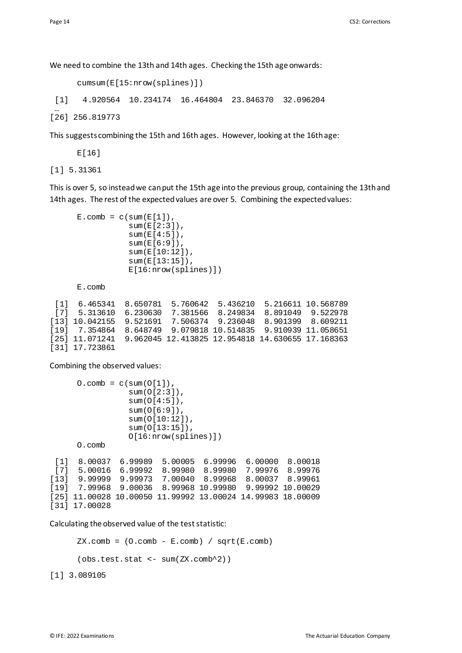We need to combine the 13th and 14th ages. Checking the 15th age onwards:

```
cumsum(E[15:nrow(splines)])
```
[1] 4.920564 10.234174 16.464804 23.846370 32.096204

… [26] 256.819773

This suggests combining the 15th and 16th ages. However, looking at the 16th age:

E[16]

[1] 5.31361

This is over 5, so instead we can put the 15th age into the previous group, containing the 13th and 14th ages. The rest of the expected values are over 5. Combining the expected values:

```
E.\text{comb} = c(\text{sum}(E[1]),sum(E[2:3]),
             sum(E[4:5]),
              sum(E[6:9]),
             sum(E[10:12]),
              sum(E[13:15]),
              E[16:nrow(splines)])
```
E.comb

[1] 6.465341 8.650781 5.760642 5.436210 5.216611 10.568789 [7] 5.313610 6.230630 7.381566 8.249834 8.891049 9.522978 [13] 10.042155 9.521691 7.506374 9.236048 8.901399 8.609211 [19] 7.354864 8.648749 9.079818 10.514835<br>[25] 11.071241 9.962045 12.413825 12.954818 9.962045 12.413825 12.954818 14.630655 17.168363 [31] 17.723861

Combining the observed values:

```
0.\text{comb} = c(\text{sum}(O[1]), sum(O[2:3]),
                 sum(O[4:5]),
                  sum(O[6:9]),
                  sum(O[10:12]),
                  sum(O[13:15]),
                  O[16:nrow(splines)])
     O.comb
 [1] 8.00037 6.99989 5.00005 6.99996 6.00000 8.00018
[7] 5.00016 6.99992 8.99980 8.99980 7.99976 8.99976
[13] 9.99999 9.99973 7.00040 8.99968 8.00037 8.99961
     7.99968 9.00036 8.99968 10.99980
[25] 11.00028 10.00050 11.99992 13.00024 14.99983 18.00009
[31] 17.00028
```
Calculating the observed value of the test statistic:

 $ZX.comb = (0.comb - E.comb) / sqrt(E.comb)$ 

(obs.test.stat <- sum(ZX.comb^2))

[1] 3.089105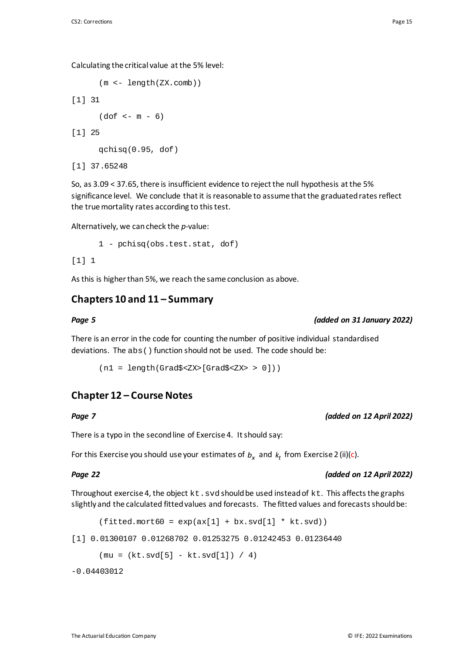Calculating the critical value at the 5% level:

```
(m <- length(ZX.comb))
```

```
[1] 31
     (dof < -m - 6)
```
[1] 25

qchisq(0.95, dof)

```
[1] 37.65248
```
So, as 3.09 < 37.65, there is insufficient evidence to reject the null hypothesis at the 5% significance level. We conclude that it is reasonable to assume that the graduated rates reflect the true mortality rates according to this test.

Alternatively, we can check the *p*-value:

```
1 - pchisq(obs.test.stat, dof)
```
#### $[1] 1$

As this is higher than 5%, we reach the same conclusion as above.

### **Chapters 10 and 11 – Summary**

#### *Page 5 (added on 31 January 2022)*

There is an error in the code for counting the number of positive individual standardised deviations. The abs() function should not be used. The code should be:

 $(n1 = length(Grad$ [Grad$ 0]))$ 

### **Chapter 12 – Course Notes**

*Page 7 (added on 12 April 2022)*

There is a typo in the second line of Exercise 4. It should say:

For this Exercise you should use your estimates of  $b_x$  and  $k_t$  from Exercise 2 (ii)(c).

#### *Page 22 (added on 12 April 2022)*

Throughout exercise 4, the object  $kt$ . svd should be used instead of  $kt$ . This affects the graphs slightly and the calculated fitted values and forecasts. The fitted values and forecasts should be:

 $(fitted.mort60 = exp(ax[1] + bx.svd[1] * kt.svd))$ 

```
[1] 0.01300107 0.01268702 0.01253275 0.01242453 0.01236440
```

```
(mu = (kt.svd[5] - kt.svd[1]) / 4)
```
-0.04403012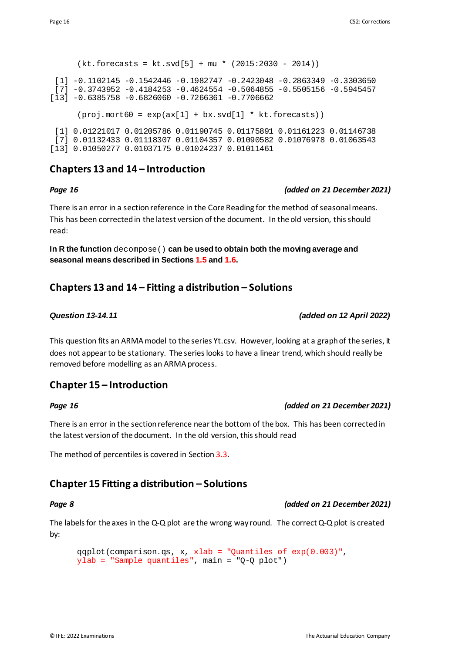### $(kt.forecasts = kt.svd[5] + mu * (2015:2030 - 2014))$ [1] -0.1102145 -0.1542446 -0.1982747 -0.2423048 -0.2863349 -0.3303650  $[7] -0.3743952 -0.4184253 -0.4624554 -0.5064855 -0.5505156 -0.5945457$  $[13] -0.6385758 -0.6826060 -0.7266361 -0.7706662$  $(proj.mort60 = exp(ax[1] + bx.svd[1] * kt.forecasts))$ [1] 0.01221017 0.01205786 0.01190745 0.01175891 0.01161223 0.01146738 [7] 0.01132433 0.01118307 0.01104357 0.01090582 0.01076978 0.01063543

### **Chapters 13 and 14 – Introduction**

#### *Page 16 (added on 21 December 2021)*

There is an error in a section reference in the Core Reading for the method of seasonal means. This has been corrected in the latest version of the document. In the old version, thisshould read:

**In R the function** decompose() **can be used to obtain both the moving average and seasonal means described in Sections 1.5 and 1.6.**

### **Chapters 13 and 14 – Fitting a distribution – Solutions**

[13] 0.01050277 0.01037175 0.01024237 0.01011461

This question fits an ARMA model to the series Yt.csv. However, looking at a graph of the series, it does not appear to be stationary. The series looks to have a linear trend, which should really be removed before modelling as an ARMA process.

### **Chapter 15 – Introduction**

#### *Page 16 (added on 21 December 2021)*

There is an error in the section reference near the bottom of the box. This has been corrected in the latest version of the document. In the old version, this should read

The method of percentiles is covered in Section 3.3.

### **Chapter 15 Fitting a distribution – Solutions**

#### *Page 8 (added on 21 December 2021)*

The labels for the axes in the Q-Q plot are the wrong way round. The correct Q-Q plot is created by:

```
qqplot(comparison.qs, x, xlab = "Quantiles of exp(0.003)",
ylab = "Sample quantiles", main = "Q-Q plot")
```
### *Question 13-14.11 (added on 12 April 2022)*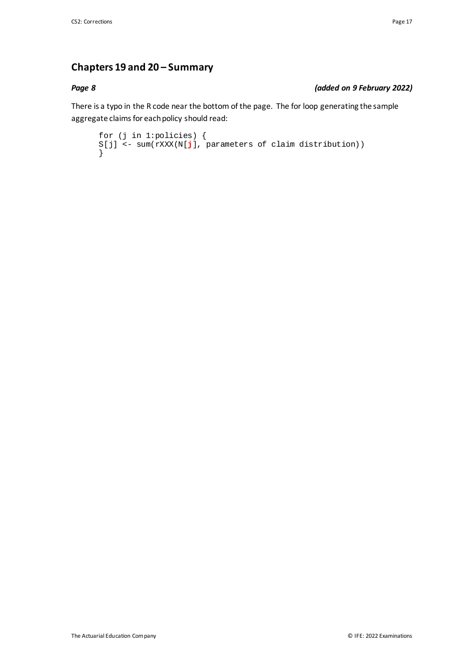### **Chapters 19 and 20 – Summary**

#### *Page 8 (added on 9 February 2022)*

There is a typo in the R code near the bottom of the page. The for loop generating the sample aggregate claims for each policy should read:

```
for (j in 1:policies) {
S[j] <- sum(rXXX(N[j], parameters of claim distribution))
}
```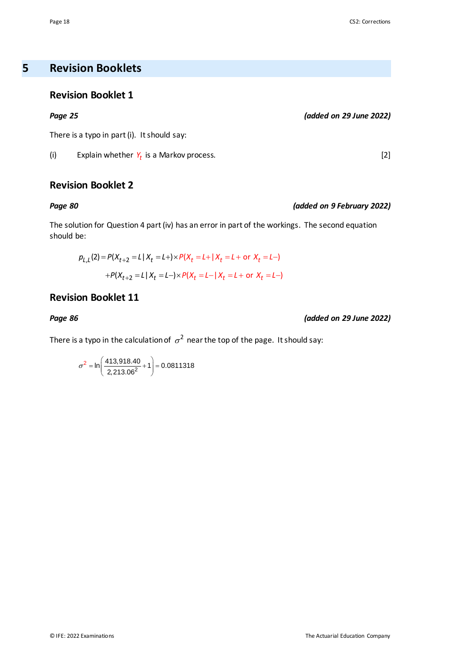**5 Revision Booklets**

### **Revision Booklet 1**

#### *Page 25 (added on 29 June 2022)*

There is a typo in part (i). It should say:

(i) Explain whether  $Y_t$  is a Markov process.  $[2]$ 

### **Revision Booklet 2**

#### *Page 80 (added on 9 February 2022)*

The solution for Question 4 part (iv) has an error in part of the workings. The second equation should be:

$$
p_{L,L}(2) = P(X_{t+2} = L | X_t = L+) \times P(X_t = L + | X_t = L + \text{ or } X_t = L-)
$$

$$
+ P(X_{t+2} = L | X_t = L-) \times P(X_t = L - | X_t = L + \text{ or } X_t = L-)
$$

### **Revision Booklet 11**

*Page 86 (added on 29 June 2022)*

There is a typo in the calculation of  $\sigma^2$  near the top of the page. It should say:

$$
\sigma^2 = \ln\left(\frac{413,918.40}{2,213.06^2} + 1\right) = 0.0811318
$$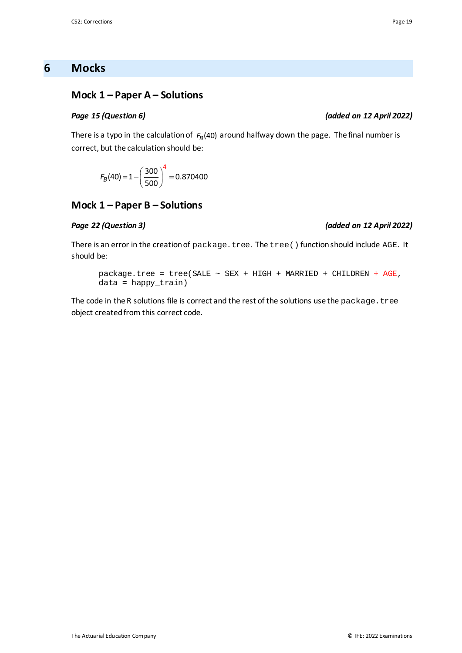### **6 Mocks**

### **Mock 1 – Paper A – Solutions**

There is a typo in the calculation of  $F_B(40)$  around halfway down the page. The final number is correct, but the calculation should be:

$$
F_B(40) = 1 - \left(\frac{300}{500}\right)^4 = 0.870400
$$

#### **Mock 1 – Paper B – Solutions**

#### *Page 22 (Question 3) (added on 12 April 2022)*

There is an error in the creation of package.tree. The tree () function should include AGE. It should be:

package.tree = tree(SALE  $\sim$  SEX + HIGH + MARRIED + CHILDREN + AGE, data = happy\_train)

The code in the R solutions file is correct and the rest of the solutions use the package.tree object created from this correct code.

#### *Page 15 (Question 6) (added on 12 April 2022)*